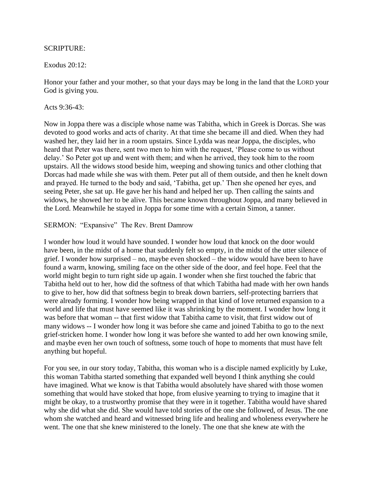## SCRIPTURE:

## Exodus 20:12:

Honor your father and your mother, so that your days may be long in the land that the LORD your God is giving you.

## Acts 9:36-43:

Now in Joppa there was a disciple whose name was Tabitha, which in Greek is Dorcas. She was devoted to good works and acts of charity. At that time she became ill and died. When they had washed her, they laid her in a room upstairs. Since Lydda was near Joppa, the disciples, who heard that Peter was there, sent two men to him with the request, 'Please come to us without delay.' So Peter got up and went with them; and when he arrived, they took him to the room upstairs. All the widows stood beside him, weeping and showing tunics and other clothing that Dorcas had made while she was with them. Peter put all of them outside, and then he knelt down and prayed. He turned to the body and said, 'Tabitha, get up.' Then she opened her eyes, and seeing Peter, she sat up. He gave her his hand and helped her up. Then calling the saints and widows, he showed her to be alive. This became known throughout Joppa, and many believed in the Lord. Meanwhile he stayed in Joppa for some time with a certain Simon, a tanner.

SERMON: "Expansive" The Rev. Brent Damrow

I wonder how loud it would have sounded. I wonder how loud that knock on the door would have been, in the midst of a home that suddenly felt so empty, in the midst of the utter silence of grief. I wonder how surprised – no, maybe even shocked – the widow would have been to have found a warm, knowing, smiling face on the other side of the door, and feel hope. Feel that the world might begin to turn right side up again. I wonder when she first touched the fabric that Tabitha held out to her, how did the softness of that which Tabitha had made with her own hands to give to her, how did that softness begin to break down barriers, self-protecting barriers that were already forming. I wonder how being wrapped in that kind of love returned expansion to a world and life that must have seemed like it was shrinking by the moment. I wonder how long it was before that woman -- that first widow that Tabitha came to visit, that first widow out of many widows -- I wonder how long it was before she came and joined Tabitha to go to the next grief-stricken home. I wonder how long it was before she wanted to add her own knowing smile, and maybe even her own touch of softness, some touch of hope to moments that must have felt anything but hopeful.

For you see, in our story today, Tabitha, this woman who is a disciple named explicitly by Luke, this woman Tabitha started something that expanded well beyond I think anything she could have imagined. What we know is that Tabitha would absolutely have shared with those women something that would have stoked that hope, from elusive yearning to trying to imagine that it might be okay, to a trustworthy promise that they were in it together. Tabitha would have shared why she did what she did. She would have told stories of the one she followed, of Jesus. The one whom she watched and heard and witnessed bring life and healing and wholeness everywhere he went. The one that she knew ministered to the lonely. The one that she knew ate with the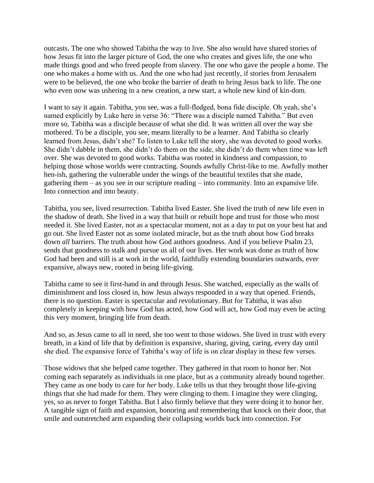outcasts. The one who showed Tabitha the way to live. She also would have shared stories of how Jesus fit into the larger picture of God, the one who creates and gives life, the one who made things good and who freed people from slavery. The one who gave the people a home. The one who makes a home with us. And the one who had just recently, if stories from Jerusalem were to be believed, the one who broke the barrier of death to bring Jesus back to life. The one who even now was ushering in a new creation, a new start, a whole new kind of kin-dom.

I want to say it again. Tabitha, you see, was a full-fledged, bona fide disciple. Oh yeah, she's named explicitly by Luke here in verse 36: "There was a disciple named Tabitha." But even more so, Tabitha was a disciple because of what she did. It was written all over the way she mothered. To be a disciple, you see, means literally to be a learner. And Tabitha so clearly learned from Jesus, didn't she? To listen to Luke tell the story, she was devoted to good works. She didn't dabble in them, she didn't do them on the side, she didn't do them when time was left over. She was devoted to good works. Tabitha was rooted in kindness and compassion, to helping those whose worlds were contracting. Sounds awfully Christ-like to me. Awfully mother hen-ish, gathering the vulnerable under the wings of the beautiful textiles that she made, gathering them – as you see in our scripture reading – into community. Into an expansive life. Into connection and into beauty.

Tabitha, you see, lived resurrection. Tabitha lived Easter. She lived the truth of new life even in the shadow of death. She lived in a way that built or rebuilt hope and trust for those who most needed it. She lived Easter, not as a spectacular moment, not as a day to put on your best hat and go out. She lived Easter not as some isolated miracle, but as the truth about how God breaks down *all* barriers. The truth about how God authors goodness. And if you believe Psalm 23, sends that goodness to stalk and pursue us all of our lives. Her work was done as truth of how God had been and still is at work in the world, faithfully extending boundaries outwards, ever expansive, always new, rooted in being life-giving.

Tabitha came to see it first-hand in and through Jesus. She watched, especially as the walls of diminishment and loss closed in, how Jesus always responded in a way that opened. Friends, there is no question. Easter is spectacular and revolutionary. But for Tabitha, it was also completely in keeping with how God has acted, how God will act, how God may even be acting this very moment, bringing life from death.

And so, as Jesus came to all in need, she too went to those widows. She lived in trust with every breath, in a kind of life that by definition is expansive, sharing, giving, caring, every day until she died. The expansive force of Tabitha's way of life is on clear display in these few verses.

Those widows that she helped came together. They gathered in that room to honor her. Not coming each separately as individuals in one place, but as a community already bound together. They came as one body to care for *her* body. Luke tells us that they brought those life-giving things that she had made for them. They were clinging to them. I imagine they were clinging, yes, so as never to forget Tabitha. But I also firmly believe that they were doing it to honor her. A tangible sign of faith and expansion, honoring and remembering that knock on their door, that smile and outstretched arm expanding their collapsing worlds back into connection. For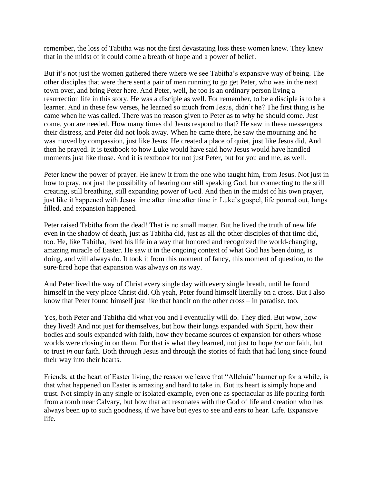remember, the loss of Tabitha was not the first devastating loss these women knew. They knew that in the midst of it could come a breath of hope and a power of belief.

But it's not just the women gathered there where we see Tabitha's expansive way of being. The other disciples that were there sent a pair of men running to go get Peter, who was in the next town over, and bring Peter here. And Peter, well, he too is an ordinary person living a resurrection life in this story. He was a disciple as well. For remember, to be a disciple is to be a learner. And in these few verses, he learned so much from Jesus, didn't he? The first thing is he came when he was called. There was no reason given to Peter as to why he should come. Just come, you are needed. How many times did Jesus respond to that? He saw in these messengers their distress, and Peter did not look away. When he came there, he saw the mourning and he was moved by compassion, just like Jesus. He created a place of quiet, just like Jesus did. And then he prayed. It is textbook to how Luke would have said how Jesus would have handled moments just like those. And it is textbook for not just Peter, but for you and me, as well.

Peter knew the power of prayer. He knew it from the one who taught him, from Jesus. Not just in how to pray, not just the possibility of hearing our still speaking God, but connecting to the still creating, still breathing, still expanding power of God. And then in the midst of his own prayer, just like it happened with Jesus time after time after time in Luke's gospel, life poured out, lungs filled, and expansion happened.

Peter raised Tabitha from the dead! That is no small matter. But he lived the truth of new life even in the shadow of death, just as Tabitha did, just as all the other disciples of that time did, too. He, like Tabitha, lived his life in a way that honored and recognized the world-changing, amazing miracle of Easter. He saw it in the ongoing context of what God has been doing, is doing, and will always do. It took it from this moment of fancy, this moment of question, to the sure-fired hope that expansion was always on its way.

And Peter lived the way of Christ every single day with every single breath, until he found himself in the very place Christ did. Oh yeah, Peter found himself literally on a cross. But I also know that Peter found himself just like that bandit on the other cross – in paradise, too.

Yes, both Peter and Tabitha did what you and I eventually will do. They died. But wow, how they lived! And not just for themselves, but how their lungs expanded with Spirit, how their bodies and souls expanded with faith, how they became sources of expansion for others whose worlds were closing in on them. For that is what they learned, not just to hope *for* our faith, but to trust *in* our faith. Both through Jesus and through the stories of faith that had long since found their way into their hearts.

Friends, at the heart of Easter living, the reason we leave that "Alleluia" banner up for a while, is that what happened on Easter is amazing and hard to take in. But its heart is simply hope and trust. Not simply in any single or isolated example, even one as spectacular as life pouring forth from a tomb near Calvary, but how that act resonates with the God of life and creation who has always been up to such goodness, if we have but eyes to see and ears to hear. Life. Expansive life.